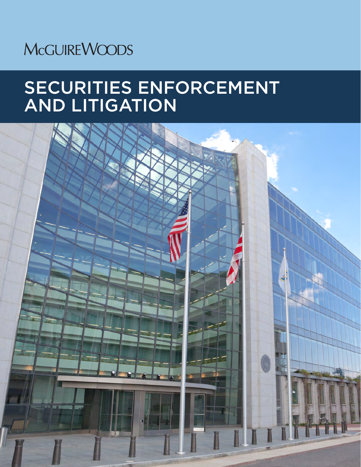# **McGUIREWOODS**

# SECURITIES ENFORCEMENT AND LITIGATION

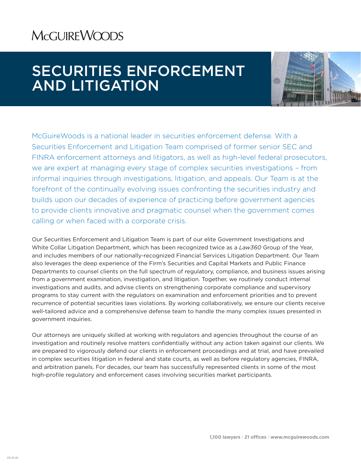## **MCGUIREWOODS**

## SECURITIES ENFORCEMENT AND LITIGATION



McGuireWoods is a national leader in securities enforcement defense. With a Securities Enforcement and Litigation Team comprised of former senior SEC and FINRA enforcement attorneys and litigators, as well as high-level federal prosecutors, we are expert at managing every stage of complex securities investigations – from informal inquiries through investigations, litigation, and appeals. Our Team is at the forefront of the continually evolving issues confronting the securities industry and builds upon our decades of experience of practicing before government agencies to provide clients innovative and pragmatic counsel when the government comes calling or when faced with a corporate crisis.

Our Securities Enforcement and Litigation Team is part of our elite Government Investigations and White Collar Litigation Department, which has been recognized twice as a *Law360* Group of the Year, and includes members of our nationally-recognized Financial Services Litigation Department. Our Team also leverages the deep experience of the Firm's Securities and Capital Markets and Public Finance Departments to counsel clients on the full spectrum of regulatory, compliance, and business issues arising from a government examination, investigation, and litigation. Together, we routinely conduct internal investigations and audits, and advise clients on strengthening corporate compliance and supervisory programs to stay current with the regulators on examination and enforcement priorities and to prevent recurrence of potential securities laws violations. By working collaboratively, we ensure our clients receive well-tailored advice and a comprehensive defense team to handle the many complex issues presented in government inquiries.

Our attorneys are uniquely skilled at working with regulators and agencies throughout the course of an investigation and routinely resolve matters confidentially without any action taken against our clients. We are prepared to vigorously defend our clients in enforcement proceedings and at trial, and have prevailed in complex securities litigation in federal and state courts, as well as before regulatory agencies, FINRA, and arbitration panels. For decades, our team has successfully represented clients in some of the most high-profile regulatory and enforcement cases involving securities market participants.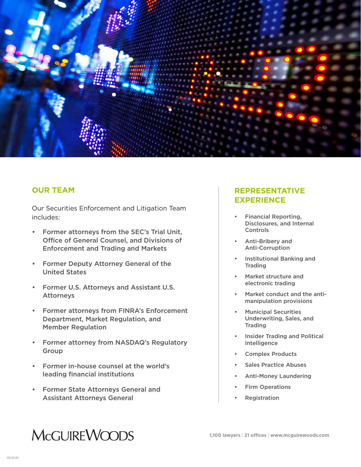

## **OUR TEAM**

Our Securities Enforcement and Litigation Team includes:

- Former attorneys from the SEC's Trial Unit, Office of General Counsel, and Divisions of Enforcement and Trading and Markets
- Former Deputy Attorney General of the United States
- Former U.S. Attorneys and Assistant U.S. Attorneys
- Former attorneys from FINRA's Enforcement Department, Market Regulation, and Member Regulation
- Former attorney from NASDAQ's Regulatory Group
- Former in-house counsel at the world's leading financial institutions
- Former State Attorneys General and Assistant Attorneys General

## **REPRESENTATIVE EXPERIENCE**

- Financial Reporting, Disclosures, and Internal Controls
- Anti-Bribery and Anti-Corruption
- Institutional Banking and Trading
- Market structure and electronic trading
- Market conduct and the antimanipulation provisions
- Municipal Securities Underwriting, Sales, and **Trading**
- Insider Trading and Political **Intelligence**
- Complex Products
- Sales Practice Abuses
- Anti-Money Laundering
- **Firm Operations**
- **Registration**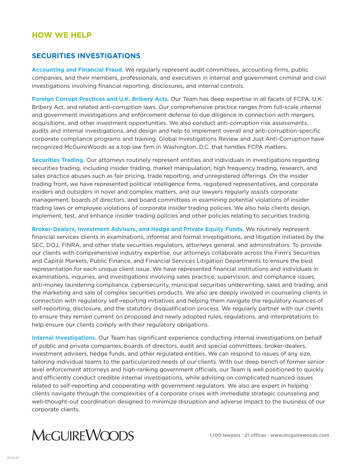## **HOW WE HELP**

#### **SECURITIES INVESTIGATIONS**

**Accounting and Financial Fraud.** We regularly represent audit committees, accounting firms, public companies, and their members, professionals, and executives in internal and government criminal and civil investigations involving financial reporting, disclosures, and internal controls.

**Foreign Corrupt Practices and U.K. Bribery Acts.** Our Team has deep expertise in all facets of FCPA, U.K. Bribery Act, and related anti-corruption laws. Our comprehensive practice ranges from full-scale internal and government investigations and enforcement defense to due diligence in connection with mergers, acquisitions, and other investment opportunities. We also conduct anti-corruption risk assessments, audits and internal investigations, and design and help to implement overall and anti-corruption-specific corporate compliance programs and training. Global Investigations Review and Just Anti-Corruption have recognized McGuireWoods as a top law firm in Washington, D.C. that handles FCPA matters.

**Securities Trading.** Our attorneys routinely represent entities and individuals in investigations regarding securities trading, including insider trading, market manipulation, high frequency trading, research, and sales practice abuses such as fair pricing, trade reporting, and unregistered offerings. On the insider trading front, we have represented political intelligence firms, registered representatives, and corporate insiders and outsiders in novel and complex matters, and our lawyers regularly assists corporate management, boards of directors, and board committees in examining potential violations of insider trading laws or employee violations of corporate insider trading policies. We also help clients design, implement, test, and enhance insider trading policies and other policies relating to securities trading.

**Broker-Dealers, Investment Advisers, and Hedge and Private Equity Funds.** We routinely represent financial services clients in examinations, informal and formal investigations, and litigation initiated by the SEC, DOJ, FINRA, and other state securities regulators, attorneys general, and administrators. To provide our clients with comprehensive industry expertise, our attorneys collaborate across the Firm's Securities and Capital Markets, Public Finance, and Financial Services Litigation Departments to ensure the best representation for each unique client issue. We have represented financial institutions and individuals in examinations, inquiries, and investigations involving sales practice, supervision, and compliance issues, anti-money laundering compliance, cybersecurity, municipal securities underwriting, sales and trading, and the marketing and sale of complex securities products. We also are deeply involved in counseling clients in connection with regulatory self-reporting initiatives and helping them navigate the regulatory nuances of self-reporting, disclosure, and the statutory disqualification process. We regularly partner with our clients to ensure they remain current on proposed and newly adopted rules, regulations, and interpretations to help ensure our clients comply with their regulatory obligations.

**Internal Investigations.** Our Team has significant experience conducting internal investigations on behalf of public and private companies, boards of directors, audit and special committees, broker-dealers, investment advisers, hedge funds, and other regulated entities. We can respond to issues of any size, tailoring individual teams to the particularized needs of our clients. With our deep bench of former senior level enforcement attorneys and high-ranking government officials, our Team is well positioned to quickly and efficiently conduct credible internal investigations, while advising on complicated nuanced issues related to self-reporting and cooperating with government regulators. We also are expert in helping clients navigate through the complexities of a corporate crises with immediate strategic counseling and well-thought-out coordination designed to minimize disruption and adverse impact to the business of our corporate clients.

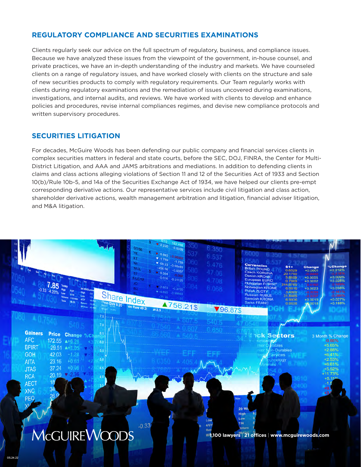## **REGULATORY COMPLIANCE AND SECURITIES EXAMINATIONS**

Clients regularly seek our advice on the full spectrum of regulatory, business, and compliance issues. Because we have analyzed these issues from the viewpoint of the government, in-house counsel, and private practices, we have an in-depth understanding of the industry and markets. We have counseled clients on a range of regulatory issues, and have worked closely with clients on the structure and sale of new securities products to comply with regulatory requirements. Our Team regularly works with clients during regulatory examinations and the remediation of issues uncovered during examinations, investigations, and internal audits, and reviews. We have worked with clients to develop and enhance policies and procedures, revise internal compliances regimes, and devise new compliance protocols and written supervisory procedures.

### **SECURITIES LITIGATION**

For decades, McGuire Woods has been defending our public company and financial services clients in complex securities matters in federal and state courts, before the SEC, DOJ, FINRA, the Center for Multi-District Litigation, and AAA and JAMS arbitrations and mediations. In addition to defending clients in claims and class actions alleging violations of Section 11 and 12 of the Securities Act of 1933 and Section 10(b)/Rule 10b-5, and 14a of the Securities Exchange Act of 1934, we have helped our clients pre-empt corresponding derivative actions. Our representative services include civil litigation and class action, shareholder derivative actions, wealth management arbitration and litigation, financial adviser litigation, and M&A litigation.

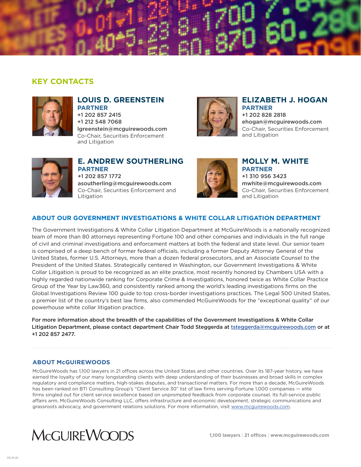

## **KEY CONTACTS**



#### **LOUIS D. GREENSTEIN PARTNER** +1 202 857 2415 +1 212 548 7068 lgreenstein@mcguirewoods.com

Co-Chair, Securities Enforcement and Litigation



#### **ELIZABETH J. HOGAN PARTNER** +1 202 828 2818 ehogan@mcguirewoods.com Co-Chair, Securities Enforcement and Litigation



**Litigation** 

#### **E. ANDREW SOUTHERLING PARTNER** +1 202 857 1772 asoutherling@mcguirewoods.com Co-Chair, Securities Enforcement and



#### **MOLLY M. WHITE PARTNER** +1 310 956 3423 mwhite@mcguirewoods.com Co-Chair, Securities Enforcement and Litigation

#### **ABOUT OUR GOVERNMENT INVESTIGATIONS & WHITE COLLAR LITIGATION DEPARTMENT**

The Government Investigations & White Collar Litigation Department at McGuireWoods is a nationally recognized team of more than 80 attorneys representing Fortune 100 and other companies and individuals in the full range of civil and criminal investigations and enforcement matters at both the federal and state level. Our senior team is comprised of a deep bench of former federal officials, including a former Deputy Attorney General of the United States, former U.S. Attorneys, more than a dozen federal prosecutors, and an Associate Counsel to the President of the United States. Strategically centered in Washington, our Government Investigations & White Collar Litigation is proud to be recognized as an elite practice, most recently honored by Chambers USA with a highly regarded nationwide ranking for Corporate Crime & Investigations, honored twice as White Collar Practice Group of the Year by Law360, and consistently ranked among the world's leading investigations firms on the Global Investigations Review 100 guide to top cross-border investigations practices. The Legal 500 United States, a premier list of the country's best law firms, also commended McGuireWoods for the "exceptional quality" of our powerhouse white collar litigation practice.

For more information about the breadth of the capabilities of the Government Investigations & White Collar Litigation Department, please contact department Chair Todd Steggerda at tsteggerda@mcguirewoods.com or at +1 202 857 2477.

#### **ABOUT McGUIREWOODS**

McGuireWoods has 1,100 lawyers in 21 offices across the United States and other countries. Over its 187-year history, we have earned the loyalty of our many longstanding clients with deep understanding of their businesses and broad skills in complex regulatory and compliance matters, high-stakes disputes, and transactional matters. For more than a decade, McGuireWoods has been ranked on BTI Consulting Group's "Client Service 30" list of law firms serving Fortune 1,000 companies — elite firms singled out for client service excellence based on unprompted feedback from corporate counsel. Its full-service public affairs arm, McGuireWoods Consulting LLC, offers infrastructure and economic development, strategic communications and grassroots advocacy, and government relations solutions. For more information, visit www.mcguirewoods.com.

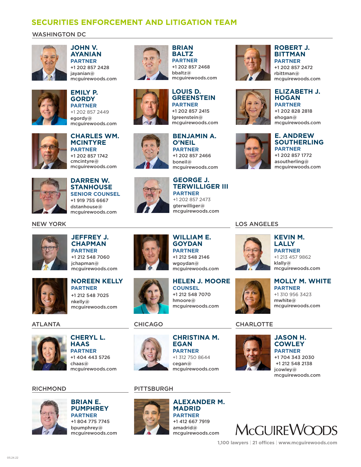## **SECURITIES ENFORCEMENT AND LITIGATION TEAM**

#### WASHINGTON DC



**JOHN V. AYANIAN PARTNER** +1 202 857 2428 iavanian $@$ mcguirewoods.com



## **EMILY P. GORDY PARTNER**

+1 202 857 2449 egordy@ mcguirewoods.com



**CHARLES WM. MCINTYRE PARTNER** +1 202 857 1742 cmcintyre@ mcguirewoods.com



**DARREN W. STANHOUSE SENIOR COUNSEL** +1 919 755 6667 dstanhouse@ mcguirewoods.com





**JEFFREY J. CHAPMAN PARTNER** +1 212 548 7060 jchapman@ mcguirewoods.com



**NOREEN KELLY PARTNER** +1 212 548 7025 nkelly@ mcguirewoods.com

#### ATLANTA



**CHERYL L. HAAS PARTNER** +1 404 443 5726 chaas@ mcguirewoods.com

RICHMOND PITTSBURGH



## **BRIAN E. PUMPHREY PARTNER**

+1 804 775 7745 bpumphrey@ mcguirewoods.com



**BRIAN BALTZ PARTNER** +1 202 857 2468 bbaltz@

mcguirewoods.com **LOUIS D.** 

**GREENSTEIN PARTNER** +1 202 857 2415 lgreenstein@ mcguirewoods.com

#### **BENJAMIN A. O'NEIL PARTNER** +1 202 857 2466 boneil@

mcguirewoods.com

#### **GEORGE J. TERWILLIGER III PARTNER** +1 202 857 2473

**HELEN J. MOORE**

mcguirewoods.com

**CHRISTINA M.** 

mcguirewoods.com

**EGAN PARTNER** +1 312 750 8644 cegan@

**ALEXANDER M.** 

mcguirewoods.com

**MADRID PARTNER** +1 412 667 7919 amadrid@

**COUNSEL** +1 212 548 7070 hmoore@

aterwilliger@ mcguirewoods.com

**WILLIAM E. GOYDAN PARTNER** +1 212 548 2146 wgoydan@ mcguirewoods.com



**ROBERT J. BITTMAN PARTNER**

+1 202 857 2472 rbittman@ mcguirewoods.com





## **E. ANDREW SOUTHERLING** mcguirewoods.com

**PARTNER** +1 202 857 1772 asoutherling@ mcguirewoods.com

LOS ANGELES



**KEVIN M. LALLY PARTNER** +1 213 457 9862 klally@ mcguirewoods.com

**MOLLY M. WHITE PARTNER** +1 310 956 3423 mwhite@ mcguirewoods.com

CHICAGO CHARLOTTE



### **JASON H. COWLEY PARTNER** +1 704 343 2030 jcowley@



 +1 212 548 2138 mcguirewoods.com